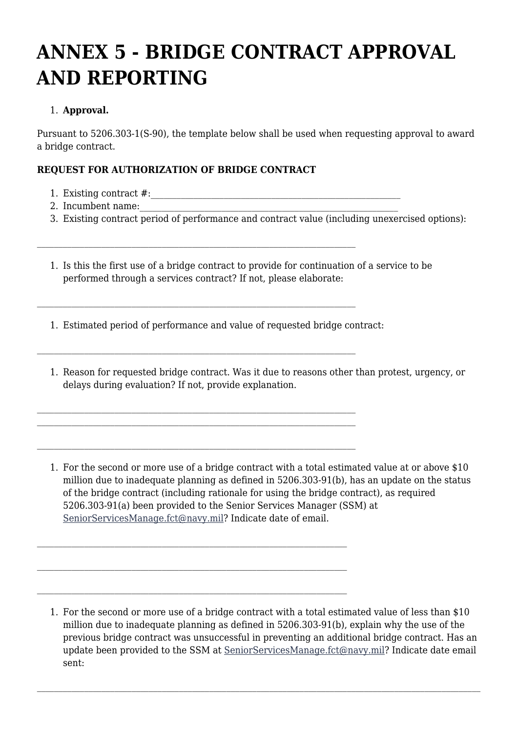# **ANNEX 5 - BRIDGE CONTRACT APPROVAL AND REPORTING**

## 1. **Approval.**

Pursuant to 5206.303‑1(S-90), the template below shall be used when requesting approval to award a bridge contract.

## **REQUEST FOR AUTHORIZATION OF BRIDGE CONTRACT**

- 1. Existing contract #:\_\_\_\_\_\_\_\_\_\_\_\_\_\_\_\_\_\_\_\_\_\_\_\_\_\_\_\_\_\_\_\_\_\_\_\_\_\_\_\_\_\_\_\_\_\_\_\_\_\_\_\_\_\_\_\_\_\_
- 2. Incumbent name:
- 3. Existing contract period of performance and contract value (including unexercised options):
- 1. Is this the first use of a bridge contract to provide for continuation of a service to be performed through a services contract? If not, please elaborate:
- 1. Estimated period of performance and value of requested bridge contract:
- 1. Reason for requested bridge contract. Was it due to reasons other than protest, urgency, or delays during evaluation? If not, provide explanation.
- 1. For the second or more use of a bridge contract with a total estimated value at or above \$10 million due to inadequate planning as defined in 5206.303-91(b), has an update on the status of the bridge contract (including rationale for using the bridge contract), as required 5206.303-91(a) been provided to the Senior Services Manager (SSM) at [SeniorServicesManage.fct@navy.mil](mailto:SeniorServicesManage.fct@navy.mil)? Indicate date of email.

<sup>1.</sup> For the second or more use of a bridge contract with a total estimated value of less than \$10 million due to inadequate planning as defined in 5206.303-91(b), explain why the use of the previous bridge contract was unsuccessful in preventing an additional bridge contract. Has an update been provided to the SSM at [SeniorServicesManage.fct@navy.mil](mailto:SeniorServicesManage.fct@navy.mil)? Indicate date email sent: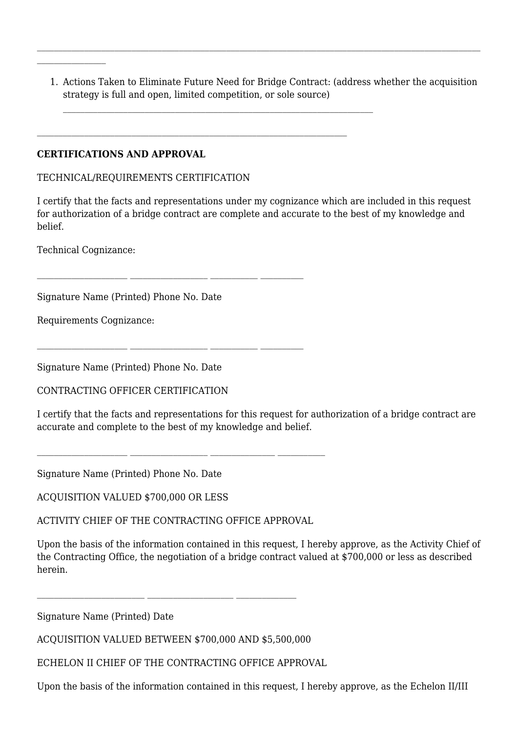1. Actions Taken to Eliminate Future Need for Bridge Contract: (address whether the acquisition strategy is full and open, limited competition, or sole source)

#### **CERTIFICATIONS AND APPROVAL**

#### TECHNICAL/REQUIREMENTS CERTIFICATION

I certify that the facts and representations under my cognizance which are included in this request for authorization of a bridge contract are complete and accurate to the best of my knowledge and belief.

Technical Cognizance:

Signature Name (Printed) Phone No. Date

Requirements Cognizance:

Signature Name (Printed) Phone No. Date

CONTRACTING OFFICER CERTIFICATION

I certify that the facts and representations for this request for authorization of a bridge contract are accurate and complete to the best of my knowledge and belief.

Signature Name (Printed) Phone No. Date

ACQUISITION VALUED \$700,000 OR LESS

ACTIVITY CHIEF OF THE CONTRACTING OFFICE APPROVAL

Upon the basis of the information contained in this request, I hereby approve, as the Activity Chief of the Contracting Office, the negotiation of a bridge contract valued at \$700,000 or less as described herein.

Signature Name (Printed) Date

ACQUISITION VALUED BETWEEN \$700,000 AND \$5,500,000

ECHELON II CHIEF OF THE CONTRACTING OFFICE APPROVAL

Upon the basis of the information contained in this request, I hereby approve, as the Echelon II/III